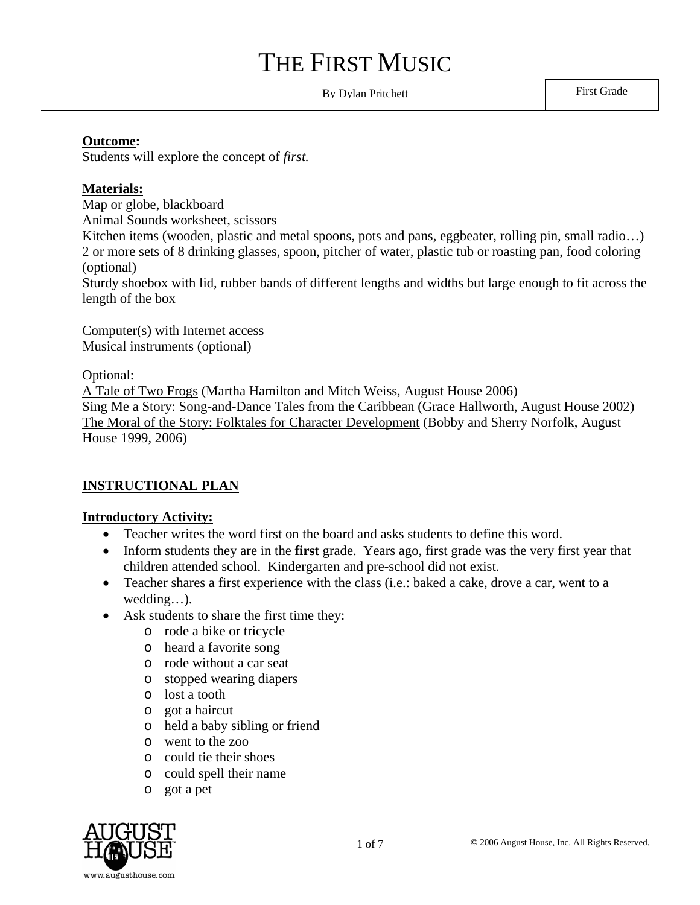By Dylan Pritchett First Grade

#### **Outcome:**

Students will explore the concept of *first.* 

#### **Materials:**

Map or globe, blackboard Animal Sounds worksheet, scissors Kitchen items (wooden, plastic and metal spoons, pots and pans, eggbeater, rolling pin, small radio...) 2 or more sets of 8 drinking glasses, spoon, pitcher of water, plastic tub or roasting pan, food coloring (optional) Sturdy shoebox with lid, rubber bands of different lengths and widths but large enough to fit across the

length of the box

Computer(s) with Internet access Musical instruments (optional)

Optional:

A Tale of Two Frogs (Martha Hamilton and Mitch Weiss, August House 2006) Sing Me a Story: Song-and-Dance Tales from the Caribbean (Grace Hallworth, August House 2002) The Moral of the Story: Folktales for Character Development (Bobby and Sherry Norfolk, August House 1999, 2006)

#### **INSTRUCTIONAL PLAN**

#### **Introductory Activity:**

- Teacher writes the word first on the board and asks students to define this word.
- Inform students they are in the **first** grade. Years ago, first grade was the very first year that children attended school. Kindergarten and pre-school did not exist.
- Teacher shares a first experience with the class (i.e.: baked a cake, drove a car, went to a wedding…).
- Ask students to share the first time they:
	- o rode a bike or tricycle
	- o heard a favorite song
	- o rode without a car seat
	- o stopped wearing diapers
	- o lost a tooth
	- o got a haircut
	- o held a baby sibling or friend
	- o went to the zoo
	- o could tie their shoes
	- o could spell their name
	- o got a pet

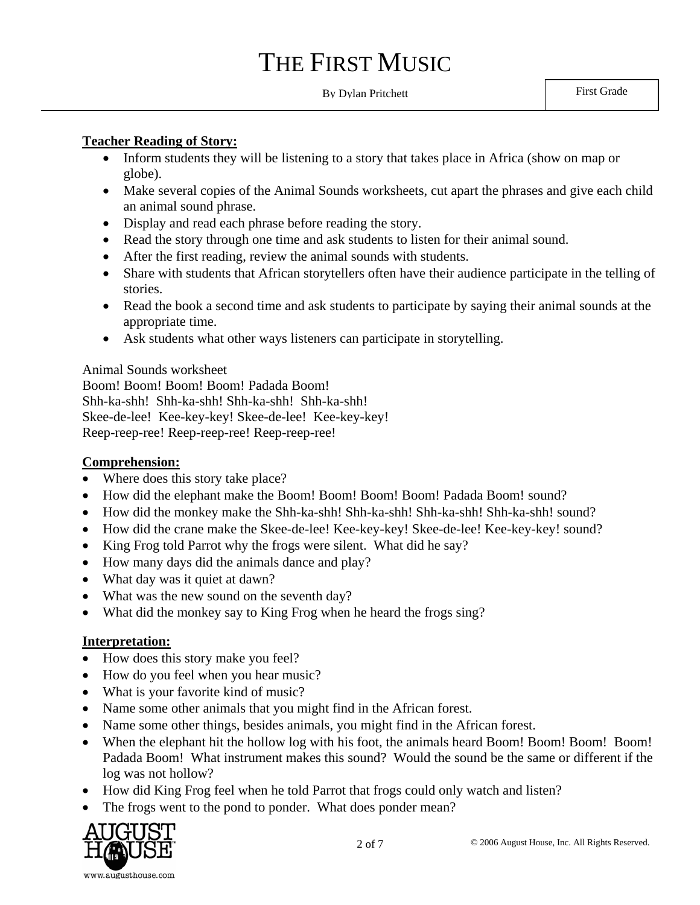### By Dylan Pritchett First Grade

#### **Teacher Reading of Story:**

- Inform students they will be listening to a story that takes place in Africa (show on map or globe).
- Make several copies of the Animal Sounds worksheets, cut apart the phrases and give each child an animal sound phrase.
- Display and read each phrase before reading the story.
- Read the story through one time and ask students to listen for their animal sound.
- After the first reading, review the animal sounds with students.
- Share with students that African storytellers often have their audience participate in the telling of stories.
- Read the book a second time and ask students to participate by saying their animal sounds at the appropriate time.
- Ask students what other ways listeners can participate in storytelling.

#### Animal Sounds worksheet

Boom! Boom! Boom! Boom! Padada Boom! Shh-ka-shh! Shh-ka-shh! Shh-ka-shh! Shh-ka-shh! Skee-de-lee! Kee-key-key! Skee-de-lee! Kee-key-key! Reep-reep-ree! Reep-reep-ree! Reep-reep-ree!

#### **Comprehension:**

- Where does this story take place?
- How did the elephant make the Boom! Boom! Boom! Boom! Padada Boom! sound?
- How did the monkey make the Shh-ka-shh! Shh-ka-shh! Shh-ka-shh! Shh-ka-shh! sound?
- How did the crane make the Skee-de-lee! Kee-key-key! Skee-de-lee! Kee-key-key! sound?
- King Frog told Parrot why the frogs were silent. What did he say?
- How many days did the animals dance and play?
- What day was it quiet at dawn?
- What was the new sound on the seventh day?
- What did the monkey say to King Frog when he heard the frogs sing?

#### **Interpretation:**

- How does this story make you feel?
- How do you feel when you hear music?
- What is your favorite kind of music?
- Name some other animals that you might find in the African forest.
- Name some other things, besides animals, you might find in the African forest.
- When the elephant hit the hollow log with his foot, the animals heard Boom! Boom! Boom! Boom! Padada Boom! What instrument makes this sound? Would the sound be the same or different if the log was not hollow?
- How did King Frog feel when he told Parrot that frogs could only watch and listen?
- The frogs went to the pond to ponder. What does ponder mean?

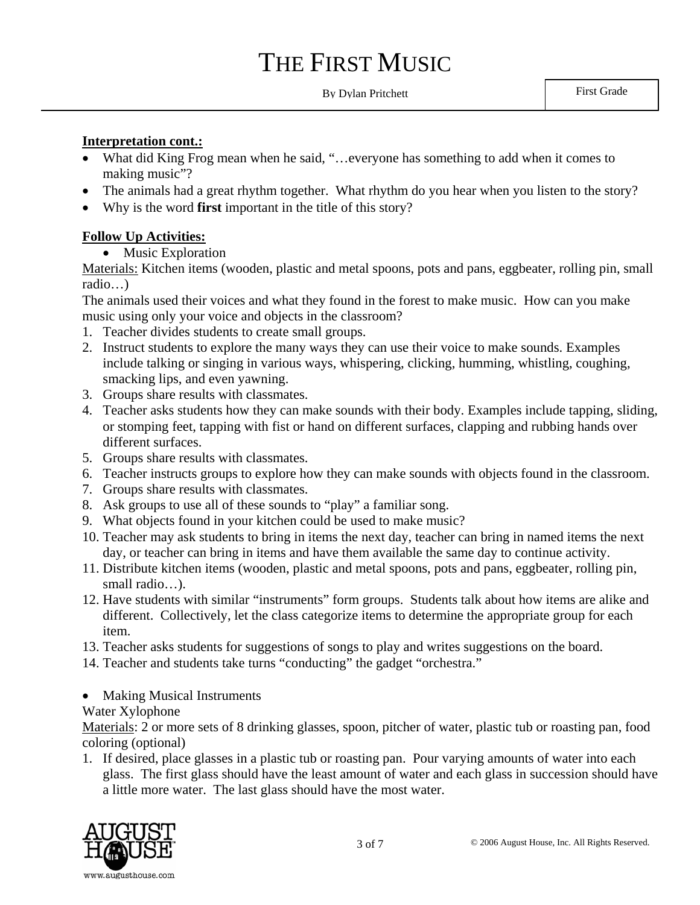By Dylan Pritchett First Grade

#### **Interpretation cont.:**

- What did King Frog mean when he said, "...everyone has something to add when it comes to making music"?
- The animals had a great rhythm together. What rhythm do you hear when you listen to the story?
- Why is the word **first** important in the title of this story?

#### **Follow Up Activities:**

• Music Exploration

Materials: Kitchen items (wooden, plastic and metal spoons, pots and pans, eggbeater, rolling pin, small radio…)

The animals used their voices and what they found in the forest to make music. How can you make music using only your voice and objects in the classroom?

- 1. Teacher divides students to create small groups.
- 2. Instruct students to explore the many ways they can use their voice to make sounds. Examples include talking or singing in various ways, whispering, clicking, humming, whistling, coughing, smacking lips, and even yawning.
- 3. Groups share results with classmates.
- 4. Teacher asks students how they can make sounds with their body. Examples include tapping, sliding, or stomping feet, tapping with fist or hand on different surfaces, clapping and rubbing hands over different surfaces.
- 5. Groups share results with classmates.
- 6. Teacher instructs groups to explore how they can make sounds with objects found in the classroom.
- 7. Groups share results with classmates.
- 8. Ask groups to use all of these sounds to "play" a familiar song.
- 9. What objects found in your kitchen could be used to make music?
- 10. Teacher may ask students to bring in items the next day, teacher can bring in named items the next day, or teacher can bring in items and have them available the same day to continue activity.
- 11. Distribute kitchen items (wooden, plastic and metal spoons, pots and pans, eggbeater, rolling pin, small radio…).
- 12. Have students with similar "instruments" form groups. Students talk about how items are alike and different. Collectively, let the class categorize items to determine the appropriate group for each item.
- 13. Teacher asks students for suggestions of songs to play and writes suggestions on the board.
- 14. Teacher and students take turns "conducting" the gadget "orchestra."
- Making Musical Instruments

#### Water Xylophone

Materials: 2 or more sets of 8 drinking glasses, spoon, pitcher of water, plastic tub or roasting pan, food coloring (optional)

1. If desired, place glasses in a plastic tub or roasting pan. Pour varying amounts of water into each glass. The first glass should have the least amount of water and each glass in succession should have a little more water. The last glass should have the most water.

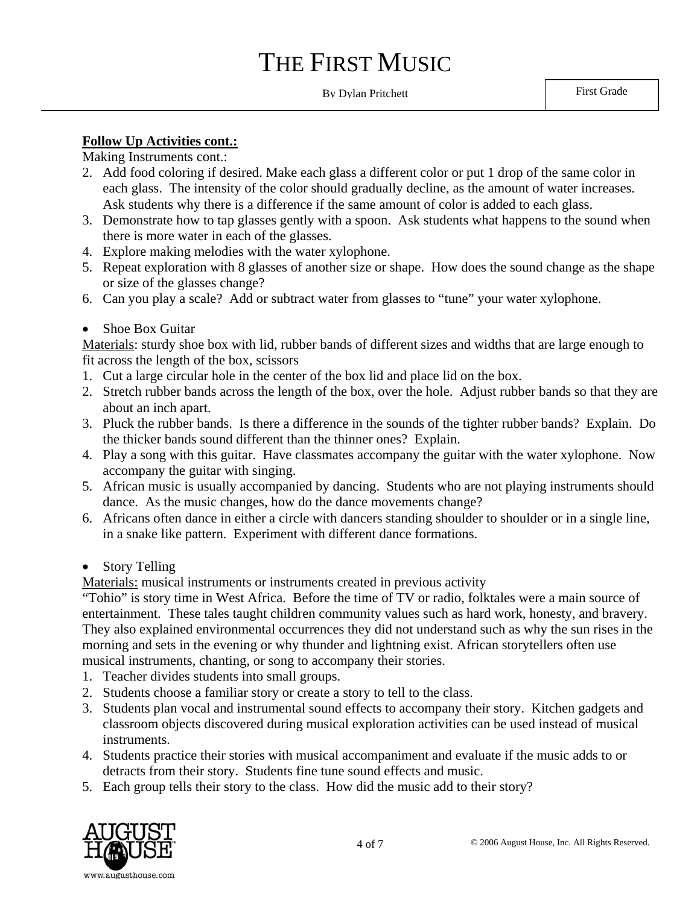#### By Dylan Pritchett First Grade

#### **Follow Up Activities cont.:**

Making Instruments cont.:

- 2. Add food coloring if desired. Make each glass a different color or put 1 drop of the same color in each glass. The intensity of the color should gradually decline, as the amount of water increases. Ask students why there is a difference if the same amount of color is added to each glass.
- 3. Demonstrate how to tap glasses gently with a spoon. Ask students what happens to the sound when there is more water in each of the glasses.
- 4. Explore making melodies with the water xylophone.
- 5. Repeat exploration with 8 glasses of another size or shape. How does the sound change as the shape or size of the glasses change?
- 6. Can you play a scale? Add or subtract water from glasses to "tune" your water xylophone.
- Shoe Box Guitar

Materials: sturdy shoe box with lid, rubber bands of different sizes and widths that are large enough to fit across the length of the box, scissors

- 1. Cut a large circular hole in the center of the box lid and place lid on the box.
- 2. Stretch rubber bands across the length of the box, over the hole. Adjust rubber bands so that they are about an inch apart.
- 3. Pluck the rubber bands. Is there a difference in the sounds of the tighter rubber bands? Explain. Do the thicker bands sound different than the thinner ones? Explain.
- 4. Play a song with this guitar. Have classmates accompany the guitar with the water xylophone. Now accompany the guitar with singing.
- 5. African music is usually accompanied by dancing. Students who are not playing instruments should dance. As the music changes, how do the dance movements change?
- 6. Africans often dance in either a circle with dancers standing shoulder to shoulder or in a single line, in a snake like pattern. Experiment with different dance formations.
- Story Telling

Materials: musical instruments or instruments created in previous activity

"Tohio" is story time in West Africa. Before the time of TV or radio, folktales were a main source of entertainment. These tales taught children community values such as hard work, honesty, and bravery. They also explained environmental occurrences they did not understand such as why the sun rises in the morning and sets in the evening or why thunder and lightning exist. African storytellers often use musical instruments, chanting, or song to accompany their stories.

- 1. Teacher divides students into small groups.
- 2. Students choose a familiar story or create a story to tell to the class.
- 3. Students plan vocal and instrumental sound effects to accompany their story. Kitchen gadgets and classroom objects discovered during musical exploration activities can be used instead of musical instruments.
- 4. Students practice their stories with musical accompaniment and evaluate if the music adds to or detracts from their story. Students fine tune sound effects and music.
- 5. Each group tells their story to the class. How did the music add to their story?

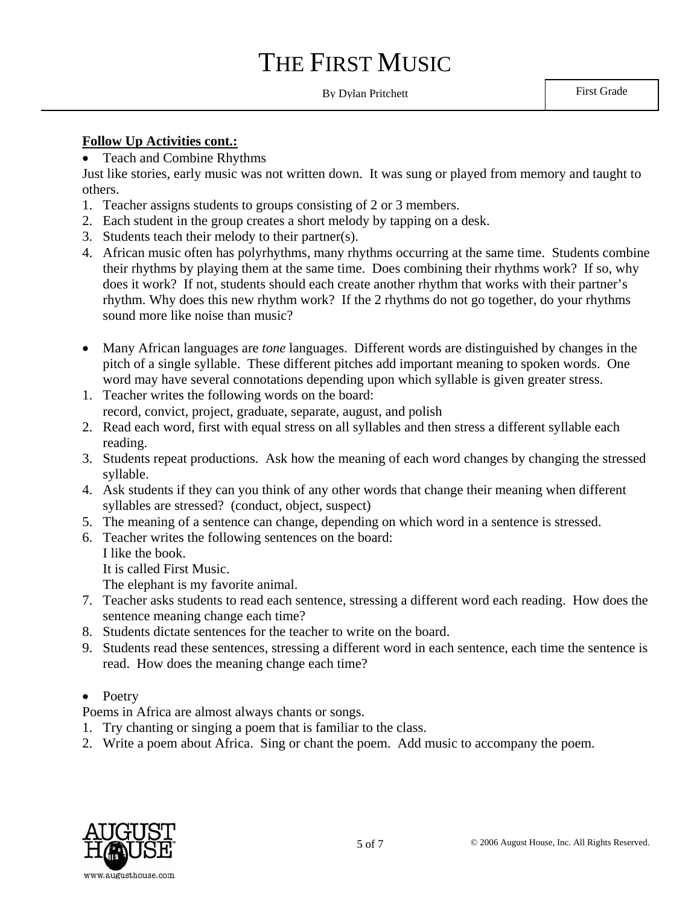### By Dylan Pritchett First Grade

#### **Follow Up Activities cont.:**

• Teach and Combine Rhythms

Just like stories, early music was not written down. It was sung or played from memory and taught to others.

- 1. Teacher assigns students to groups consisting of 2 or 3 members.
- 2. Each student in the group creates a short melody by tapping on a desk.
- 3. Students teach their melody to their partner(s).
- 4. African music often has polyrhythms, many rhythms occurring at the same time. Students combine their rhythms by playing them at the same time. Does combining their rhythms work? If so, why does it work? If not, students should each create another rhythm that works with their partner's rhythm. Why does this new rhythm work? If the 2 rhythms do not go together, do your rhythms sound more like noise than music?
- Many African languages are *tone* languages. Different words are distinguished by changes in the pitch of a single syllable. These different pitches add important meaning to spoken words. One word may have several connotations depending upon which syllable is given greater stress.
- 1. Teacher writes the following words on the board: record, convict, project, graduate, separate, august, and polish
- 2. Read each word, first with equal stress on all syllables and then stress a different syllable each reading.
- 3. Students repeat productions. Ask how the meaning of each word changes by changing the stressed syllable.
- 4. Ask students if they can you think of any other words that change their meaning when different syllables are stressed? (conduct, object, suspect)
- 5. The meaning of a sentence can change, depending on which word in a sentence is stressed.
- 6. Teacher writes the following sentences on the board:
	- I like the book.

It is called First Music.

The elephant is my favorite animal.

- 7. Teacher asks students to read each sentence, stressing a different word each reading. How does the sentence meaning change each time?
- 8. Students dictate sentences for the teacher to write on the board.
- 9. Students read these sentences, stressing a different word in each sentence, each time the sentence is read. How does the meaning change each time?

#### • Poetry

- Poems in Africa are almost always chants or songs.
- 1. Try chanting or singing a poem that is familiar to the class.
- 2. Write a poem about Africa. Sing or chant the poem. Add music to accompany the poem.

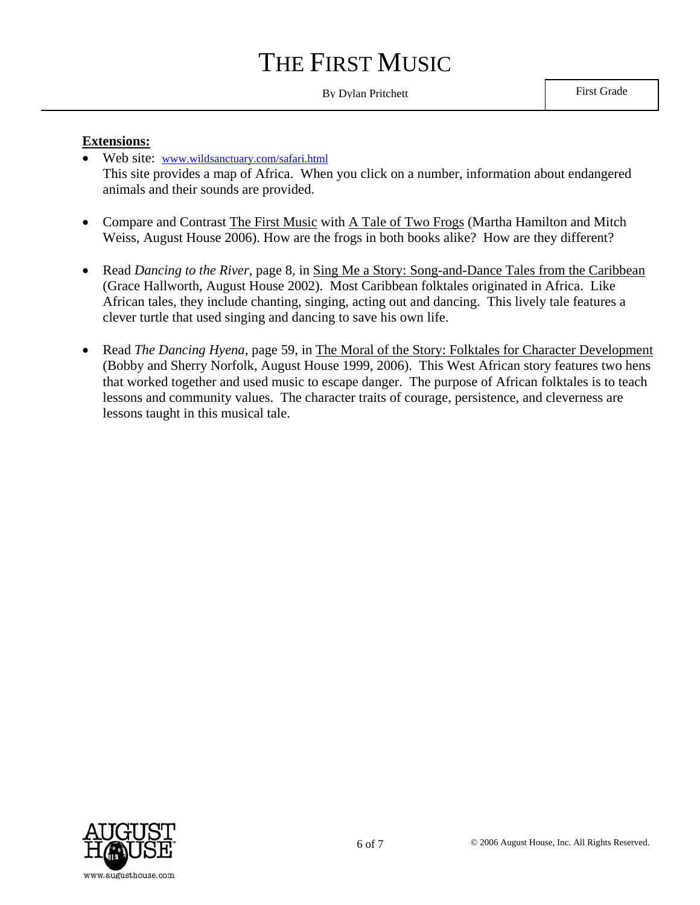### By Dylan Pritchett First Grade

#### **Extensions:**

- Web site: www.wildsanctuary.com/safari.html This site provides a map of Africa. When you click on a number, information about endangered animals and their sounds are provided.
- Compare and Contrast The First Music with A Tale of Two Frogs (Martha Hamilton and Mitch Weiss, August House 2006). How are the frogs in both books alike? How are they different?
- Read *Dancing to the River*, page 8, in Sing Me a Story: Song-and-Dance Tales from the Caribbean (Grace Hallworth, August House 2002). Most Caribbean folktales originated in Africa. Like African tales, they include chanting, singing, acting out and dancing. This lively tale features a clever turtle that used singing and dancing to save his own life.
- Read *The Dancing Hyena*, page 59, in The Moral of the Story: Folktales for Character Development (Bobby and Sherry Norfolk, August House 1999, 2006). This West African story features two hens that worked together and used music to escape danger. The purpose of African folktales is to teach lessons and community values. The character traits of courage, persistence, and cleverness are lessons taught in this musical tale.